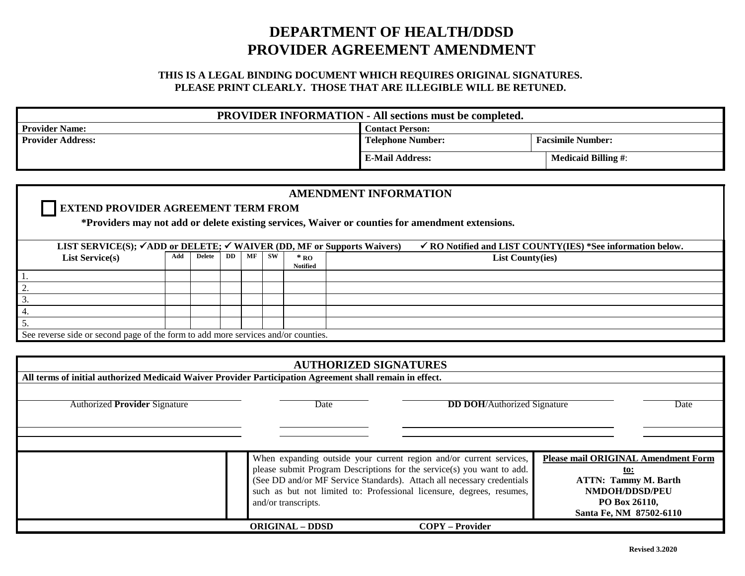## **DEPARTMENT OF HEALTH/DDSD PROVIDER AGREEMENT AMENDMENT**

## **THIS IS A LEGAL BINDING DOCUMENT WHICH REQUIRES ORIGINAL SIGNATURES. PLEASE PRINT CLEARLY. THOSE THAT ARE ILLEGIBLE WILL BE RETUNED.**

| <b>PROVIDER INFORMATION - All sections must be completed.</b> |                          |                            |  |  |  |  |
|---------------------------------------------------------------|--------------------------|----------------------------|--|--|--|--|
| <b>Provider Name:</b>                                         | <b>Contact Person:</b>   |                            |  |  |  |  |
| <b>Provider Address:</b>                                      | <b>Telephone Number:</b> | <b>Facsimile Number:</b>   |  |  |  |  |
|                                                               | <b>E-Mail Address:</b>   | <b>Medicaid Billing #:</b> |  |  |  |  |

| <b>AMENDMENT INFORMATION</b>                                                                                                                                           |     |        |           |    |           |                 |                         |  |  |
|------------------------------------------------------------------------------------------------------------------------------------------------------------------------|-----|--------|-----------|----|-----------|-----------------|-------------------------|--|--|
| <b>EXTEND PROVIDER AGREEMENT TERM FROM</b>                                                                                                                             |     |        |           |    |           |                 |                         |  |  |
| *Providers may not add or delete existing services, Waiver or counties for amendment extensions.                                                                       |     |        |           |    |           |                 |                         |  |  |
|                                                                                                                                                                        |     |        |           |    |           |                 |                         |  |  |
| LIST SERVICE(S); $\checkmark$ ADD or DELETE; $\checkmark$ WAIVER (DD, MF or Supports Waivers)<br>$\checkmark$ RO Notified and LIST COUNTY(IES) *See information below. |     |        |           |    |           |                 |                         |  |  |
| <b>List Service(s)</b>                                                                                                                                                 | Add | Delete | <b>DD</b> | MF | <b>SW</b> | $*_{\rm\,RO}$   | <b>List County(ies)</b> |  |  |
|                                                                                                                                                                        |     |        |           |    |           | <b>Notified</b> |                         |  |  |
|                                                                                                                                                                        |     |        |           |    |           |                 |                         |  |  |
| 2.                                                                                                                                                                     |     |        |           |    |           |                 |                         |  |  |
| 3.                                                                                                                                                                     |     |        |           |    |           |                 |                         |  |  |
| <sup>1</sup> 4.                                                                                                                                                        |     |        |           |    |           |                 |                         |  |  |
| 5.                                                                                                                                                                     |     |        |           |    |           |                 |                         |  |  |
| See reverse side or second page of the form to add more services and/or counties.                                                                                      |     |        |           |    |           |                 |                         |  |  |

| <b>AUTHORIZED SIGNATURES</b>                                                                             |                                                                        |                                            |                         |  |  |  |  |
|----------------------------------------------------------------------------------------------------------|------------------------------------------------------------------------|--------------------------------------------|-------------------------|--|--|--|--|
| All terms of initial authorized Medicaid Waiver Provider Participation Agreement shall remain in effect. |                                                                        |                                            |                         |  |  |  |  |
|                                                                                                          |                                                                        |                                            |                         |  |  |  |  |
| <b>Authorized Provider Signature</b>                                                                     | Date                                                                   | <b>DD DOH</b> /Authorized Signature        | Date                    |  |  |  |  |
|                                                                                                          |                                                                        |                                            |                         |  |  |  |  |
|                                                                                                          |                                                                        |                                            |                         |  |  |  |  |
|                                                                                                          |                                                                        |                                            |                         |  |  |  |  |
|                                                                                                          | When expanding outside your current region and/or current services,    | <b>Please mail ORIGINAL Amendment Form</b> |                         |  |  |  |  |
|                                                                                                          | please submit Program Descriptions for the service(s) you want to add. | <u>to:</u>                                 |                         |  |  |  |  |
|                                                                                                          | (See DD and/or MF Service Standards). Attach all necessary credentials | <b>ATTN: Tammy M. Barth</b>                |                         |  |  |  |  |
|                                                                                                          | such as but not limited to: Professional licensure, degrees, resumes,  |                                            | <b>NMDOH/DDSD/PEU</b>   |  |  |  |  |
|                                                                                                          | and/or transcripts.                                                    |                                            | PO Box 26110,           |  |  |  |  |
|                                                                                                          |                                                                        |                                            | Santa Fe, NM 87502-6110 |  |  |  |  |
|                                                                                                          | <b>ORIGINAL – DDSD</b>                                                 | <b>COPY – Provider</b>                     |                         |  |  |  |  |